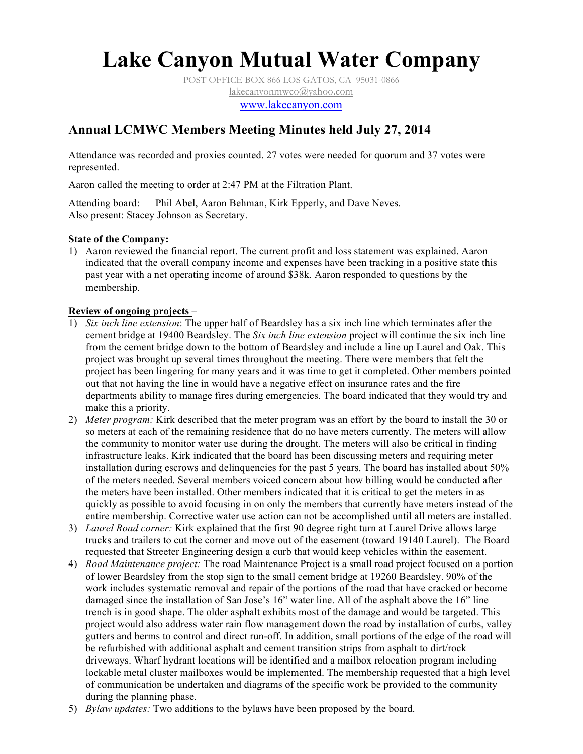## **Lake Canyon Mutual Water Company**

POST OFFICE BOX 866 LOS GATOS, CA 95031-0866 lakecanyonmwco@yahoo.com www.lakecanyon.com

## **Annual LCMWC Members Meeting Minutes held July 27, 2014**

Attendance was recorded and proxies counted. 27 votes were needed for quorum and 37 votes were represented.

Aaron called the meeting to order at 2:47 PM at the Filtration Plant.

Attending board: Phil Abel, Aaron Behman, Kirk Epperly, and Dave Neves. Also present: Stacey Johnson as Secretary.

#### **State of the Company:**

1) Aaron reviewed the financial report. The current profit and loss statement was explained. Aaron indicated that the overall company income and expenses have been tracking in a positive state this past year with a net operating income of around \$38k. Aaron responded to questions by the membership.

#### **Review of ongoing projects** –

- 1) *Six inch line extension*: The upper half of Beardsley has a six inch line which terminates after the cement bridge at 19400 Beardsley. The *Six inch line extension* project will continue the six inch line from the cement bridge down to the bottom of Beardsley and include a line up Laurel and Oak. This project was brought up several times throughout the meeting. There were members that felt the project has been lingering for many years and it was time to get it completed. Other members pointed out that not having the line in would have a negative effect on insurance rates and the fire departments ability to manage fires during emergencies. The board indicated that they would try and make this a priority.
- 2) *Meter program:* Kirk described that the meter program was an effort by the board to install the 30 or so meters at each of the remaining residence that do no have meters currently. The meters will allow the community to monitor water use during the drought. The meters will also be critical in finding infrastructure leaks. Kirk indicated that the board has been discussing meters and requiring meter installation during escrows and delinquencies for the past 5 years. The board has installed about 50% of the meters needed. Several members voiced concern about how billing would be conducted after the meters have been installed. Other members indicated that it is critical to get the meters in as quickly as possible to avoid focusing in on only the members that currently have meters instead of the entire membership. Corrective water use action can not be accomplished until all meters are installed.
- 3) *Laurel Road corner:* Kirk explained that the first 90 degree right turn at Laurel Drive allows large trucks and trailers to cut the corner and move out of the easement (toward 19140 Laurel). The Board requested that Streeter Engineering design a curb that would keep vehicles within the easement.
- 4) *Road Maintenance project:* The road Maintenance Project is a small road project focused on a portion of lower Beardsley from the stop sign to the small cement bridge at 19260 Beardsley. 90% of the work includes systematic removal and repair of the portions of the road that have cracked or become damaged since the installation of San Jose's 16" water line. All of the asphalt above the 16" line trench is in good shape. The older asphalt exhibits most of the damage and would be targeted. This project would also address water rain flow management down the road by installation of curbs, valley gutters and berms to control and direct run-off. In addition, small portions of the edge of the road will be refurbished with additional asphalt and cement transition strips from asphalt to dirt/rock driveways. Wharf hydrant locations will be identified and a mailbox relocation program including lockable metal cluster mailboxes would be implemented. The membership requested that a high level of communication be undertaken and diagrams of the specific work be provided to the community during the planning phase.
- 5) *Bylaw updates:* Two additions to the bylaws have been proposed by the board.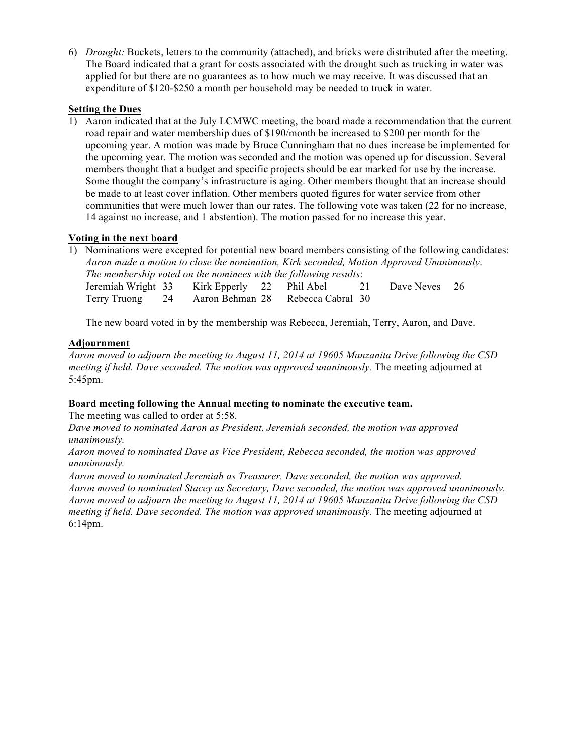6) *Drought:* Buckets, letters to the community (attached), and bricks were distributed after the meeting. The Board indicated that a grant for costs associated with the drought such as trucking in water was applied for but there are no guarantees as to how much we may receive. It was discussed that an expenditure of \$120-\$250 a month per household may be needed to truck in water.

#### **Setting the Dues**

1) Aaron indicated that at the July LCMWC meeting, the board made a recommendation that the current road repair and water membership dues of \$190/month be increased to \$200 per month for the upcoming year. A motion was made by Bruce Cunningham that no dues increase be implemented for the upcoming year. The motion was seconded and the motion was opened up for discussion. Several members thought that a budget and specific projects should be ear marked for use by the increase. Some thought the company's infrastructure is aging. Other members thought that an increase should be made to at least cover inflation. Other members quoted figures for water service from other communities that were much lower than our rates. The following vote was taken (22 for no increase, 14 against no increase, and 1 abstention). The motion passed for no increase this year.

#### **Voting in the next board**

1) Nominations were excepted for potential new board members consisting of the following candidates: *Aaron made a motion to close the nomination, Kirk seconded, Motion Approved Unanimously*. *The membership voted on the nominees with the following results*: Jeremiah Wright 33 Kirk Epperly 22 Phil Abel 21 Dave Neves 26 Terry Truong 24 Aaron Behman 28 Rebecca Cabral 30

The new board voted in by the membership was Rebecca, Jeremiah, Terry, Aaron, and Dave.

#### **Adjournment**

*Aaron moved to adjourn the meeting to August 11, 2014 at 19605 Manzanita Drive following the CSD meeting if held. Dave seconded. The motion was approved unanimously.* The meeting adjourned at 5:45pm.

#### **Board meeting following the Annual meeting to nominate the executive team.**

The meeting was called to order at 5:58.

*Dave moved to nominated Aaron as President, Jeremiah seconded, the motion was approved unanimously.*

*Aaron moved to nominated Dave as Vice President, Rebecca seconded, the motion was approved unanimously.*

*Aaron moved to nominated Jeremiah as Treasurer, Dave seconded, the motion was approved. Aaron moved to nominated Stacey as Secretary, Dave seconded, the motion was approved unanimously. Aaron moved to adjourn the meeting to August 11, 2014 at 19605 Manzanita Drive following the CSD meeting if held. Dave seconded. The motion was approved unanimously.* The meeting adjourned at 6:14pm.